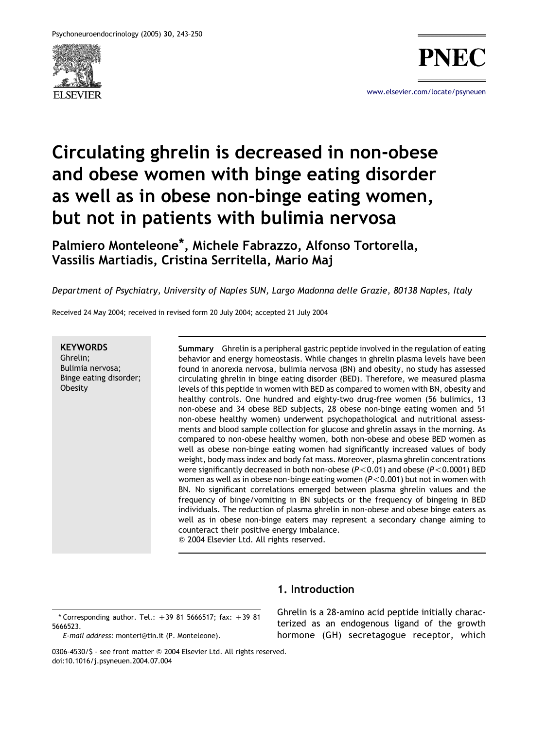

# Circulating ghrelin is decreased in non-obese and obese women with binge eating disorder as well as in obese non-binge eating women, but not in patients with bulimia nervosa

Palmiero Monteleone\*, Michele Fabrazzo, Alfonso Tortorella, Vassilis Martiadis, Cristina Serritella, Mario Maj

Department of Psychiatry, University of Naples SUN, Largo Madonna delle Grazie, 80138 Naples, Italy

Received 24 May 2004; received in revised form 20 July 2004; accepted 21 July 2004

#### **KEYWORDS**

Ghrelin; Bulimia nervosa; Binge eating disorder; **Obesity** 

Summary Ghrelin is a peripheral gastric peptide involved in the regulation of eating behavior and energy homeostasis. While changes in ghrelin plasma levels have been found in anorexia nervosa, bulimia nervosa (BN) and obesity, no study has assessed circulating ghrelin in binge eating disorder (BED). Therefore, we measured plasma levels of this peptide in women with BED as compared to women with BN, obesity and healthy controls. One hundred and eighty-two drug-free women (56 bulimics, 13 non-obese and 34 obese BED subjects, 28 obese non-binge eating women and 51 non-obese healthy women) underwent psychopathological and nutritional assessments and blood sample collection for glucose and ghrelin assays in the morning. As compared to non-obese healthy women, both non-obese and obese BED women as well as obese non-binge eating women had significantly increased values of body weight, body mass index and body fat mass. Moreover, plasma ghrelin concentrations were significantly decreased in both non-obese ( $P < 0.01$ ) and obese ( $P < 0.0001$ ) BED women as well as in obese non-binge eating women ( $P < 0.001$ ) but not in women with BN. No significant correlations emerged between plasma ghrelin values and the frequency of binge/vomiting in BN subjects or the frequency of bingeing in BED individuals. The reduction of plasma ghrelin in non-obese and obese binge eaters as well as in obese non-binge eaters may represent a secondary change aiming to counteract their positive energy imbalance. Q 2004 Elsevier Ltd. All rights reserved.

1. Introduction

\* Corresponding author. Tel.:  $+39$  81 5666517; fax:  $+39$  81 5666523.

E-mail address: monteri@tin.it (P. Monteleone).

Ghrelin is a 28-amino acid peptide initially characterized as an endogenous ligand of the growth hormone (GH) secretagogue receptor, which

0306-4530/\$ - see front matter © 2004 Elsevier Ltd. All rights reserved. doi:10.1016/j.psyneuen.2004.07.004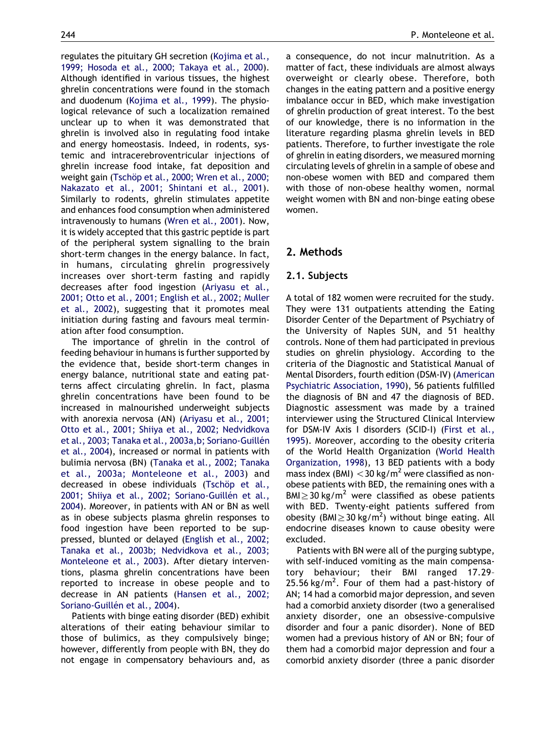regulates the pituitary GH secretion [\(Kojima et al.,](#page--1-0) [1999; Hosoda et al., 2000; Takaya et al., 2000](#page--1-0)). Although identified in various tissues, the highest ghrelin concentrations were found in the stomach and duodenum ([Kojima et al., 1999\)](#page--1-0). The physiological relevance of such a localization remained unclear up to when it was demonstrated that ghrelin is involved also in regulating food intake and energy homeostasis. Indeed, in rodents, systemic and intracerebroventricular injections of ghrelin increase food intake, fat deposition and weight gain (Tschöp et al., 2000; Wren et al., 2000; [Nakazato et al., 2001; Shintani et al., 2001](#page--1-0)). Similarly to rodents, ghrelin stimulates appetite and enhances food consumption when administered intravenously to humans [\(Wren et al., 2001](#page--1-0)). Now, it is widely accepted that this gastric peptide is part of the peripheral system signalling to the brain short-term changes in the energy balance. In fact, in humans, circulating ghrelin progressively increases over short-term fasting and rapidly decreases after food ingestion [\(Ariyasu et al.,](#page--1-0) [2001; Otto et al., 2001; English et al., 2002; Muller](#page--1-0) [et al., 2002](#page--1-0)), suggesting that it promotes meal initiation during fasting and favours meal termination after food consumption.

The importance of ghrelin in the control of feeding behaviour in humans is further supported by the evidence that, beside short-term changes in energy balance, nutritional state and eating patterns affect circulating ghrelin. In fact, plasma ghrelin concentrations have been found to be increased in malnourished underweight subjects with anorexia nervosa (AN) [\(Ariyasu et al., 2001;](#page--1-0) [Otto et al., 2001; Shiiya et al., 2002; Nedvidkova](#page--1-0) et al., 2003; Tanaka et al., 2003a, b; Soriano-Guillén [et al., 2004\)](#page--1-0), increased or normal in patients with bulimia nervosa (BN) ([Tanaka et al., 2002; Tanaka](#page--1-0) [et al., 2003a; Monteleone et al., 2003](#page--1-0)) and decreased in obese individuals (Tschöp et al., 2001; Shiiya et al., 2002; Soriano-Guillén et al., [2004](#page--1-0)). Moreover, in patients with AN or BN as well as in obese subjects plasma ghrelin responses to food ingestion have been reported to be suppressed, blunted or delayed ([English et al., 2002;](#page--1-0) [Tanaka et al., 2003b; Nedvidkova et al., 2003;](#page--1-0) [Monteleone et al., 2003](#page--1-0)). After dietary interventions, plasma ghrelin concentrations have been reported to increase in obese people and to decrease in AN patients ([Hansen et al., 2002;](#page--1-0) Soriano-Guillén et al., 2004).

Patients with binge eating disorder (BED) exhibit alterations of their eating behaviour similar to those of bulimics, as they compulsively binge; however, differently from people with BN, they do not engage in compensatory behaviours and, as a consequence, do not incur malnutrition. As a matter of fact, these individuals are almost always overweight or clearly obese. Therefore, both changes in the eating pattern and a positive energy imbalance occur in BED, which make investigation of ghrelin production of great interest. To the best of our knowledge, there is no information in the literature regarding plasma ghrelin levels in BED patients. Therefore, to further investigate the role of ghrelin in eating disorders, we measured morning circulating levels of ghrelin in a sample of obese and non-obese women with BED and compared them with those of non-obese healthy women, normal weight women with BN and non-binge eating obese women.

### 2. Methods

#### 2.1. Subjects

A total of 182 women were recruited for the study. They were 131 outpatients attending the Eating Disorder Center of the Department of Psychiatry of the University of Naples SUN, and 51 healthy controls. None of them had participated in previous studies on ghrelin physiology. According to the criteria of the Diagnostic and Statistical Manual of Mental Disorders, fourth edition (DSM-IV) ([American](#page--1-0) [Psychiatric Association, 1990\)](#page--1-0), 56 patients fulfilled the diagnosis of BN and 47 the diagnosis of BED. Diagnostic assessment was made by a trained interviewer using the Structured Clinical Interview for DSM-IV Axis I disorders (SCID-I) ([First et al.,](#page--1-0) [1995](#page--1-0)). Moreover, according to the obesity criteria of the World Health Organization ([World Health](#page--1-0) [Organization, 1998\)](#page--1-0), 13 BED patients with a body mass index (BMI)  $<$  30 kg/m<sup>2</sup> were classified as nonobese patients with BED, the remaining ones with a BMI $\geq$ 30 kg/m<sup>2</sup> were classified as obese patients with BED. Twenty-eight patients suffered from obesity (BMI $\geq$ 30 kg/m<sup>2</sup>) without binge eating. All endocrine diseases known to cause obesity were excluded.

Patients with BN were all of the purging subtype, with self-induced vomiting as the main compensatory behaviour; their BMI ranged 17.29– 25.56 kg/m<sup>2</sup>. Four of them had a past-history of AN; 14 had a comorbid major depression, and seven had a comorbid anxiety disorder (two a generalised anxiety disorder, one an obsessive-compulsive disorder and four a panic disorder). None of BED women had a previous history of AN or BN; four of them had a comorbid major depression and four a comorbid anxiety disorder (three a panic disorder